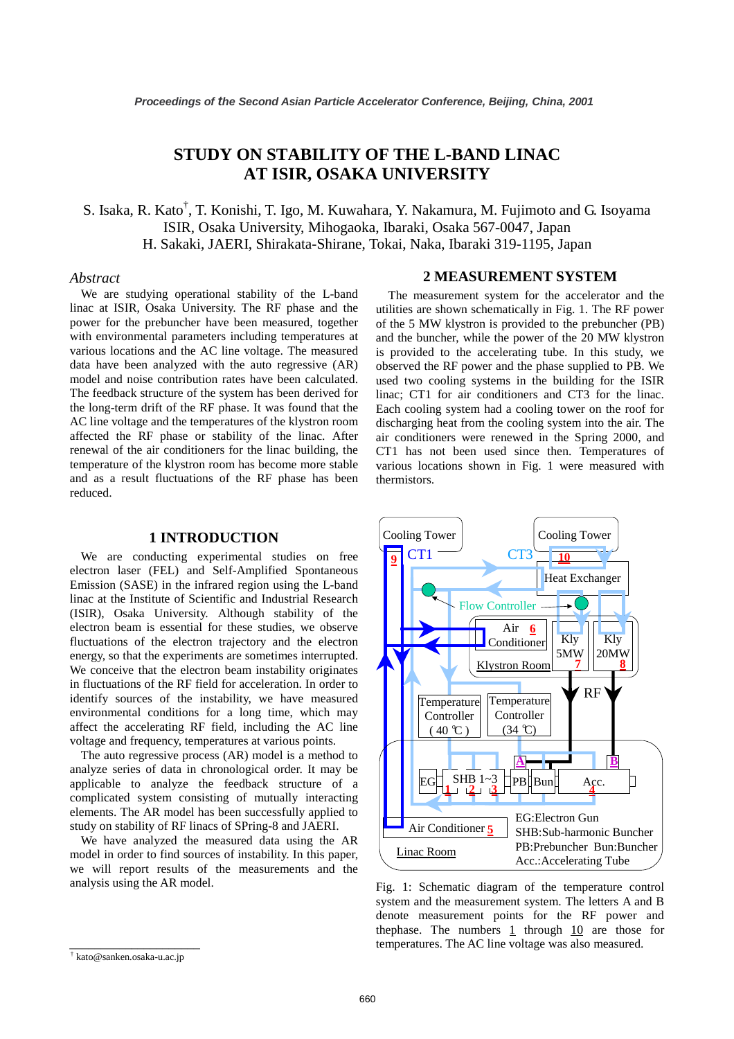# **STUDY ON STABILITY OF THE L-BAND LINAC AT ISIR, OSAKA UNIVERSITY**

S. Isaka, R. Kato<sup>†</sup>, T. Konishi, T. Igo, M. Kuwahara, Y. Nakamura, M. Fujimoto and G. Isoyama ISIR, Osaka University, Mihogaoka, Ibaraki, Osaka 567-0047, Japan H. Sakaki, JAERI, Shirakata-Shirane, Tokai, Naka, Ibaraki 319-1195, Japan

## *Abstract*

We are studying operational stability of the L-band linac at ISIR, Osaka University. The RF phase and the power for the prebuncher have been measured, together with environmental parameters including temperatures at various locations and the AC line voltage. The measured data have been analyzed with the auto regressive (AR) model and noise contribution rates have been calculated. The feedback structure of the system has been derived for the long-term drift of the RF phase. It was found that the AC line voltage and the temperatures of the klystron room affected the RF phase or stability of the linac. After renewal of the air conditioners for the linac building, the temperature of the klystron room has become more stable and as a result fluctuations of the RF phase has been reduced.

# **1 INTRODUCTION**

We are conducting experimental studies on free electron laser (FEL) and Self-Amplified Spontaneous Emission (SASE) in the infrared region using the L-band linac at the Institute of Scientific and Industrial Research (ISIR), Osaka University. Although stability of the electron beam is essential for these studies, we observe fluctuations of the electron trajectory and the electron energy, so that the experiments are sometimes interrupted. We conceive that the electron beam instability originates in fluctuations of the RF field for acceleration. In order to identify sources of the instability, we have measured environmental conditions for a long time, which may affect the accelerating RF field, including the AC line voltage and frequency, temperatures at various points.

The auto regressive process (AR) model is a method to analyze series of data in chronological order. It may be applicable to analyze the feedback structure of a complicated system consisting of mutually interacting elements. The AR model has been successfully applied to study on stability of RF linacs of SPring-8 and JAERI.

We have analyzed the measured data using the AR model in order to find sources of instability. In this paper, we will report results of the measurements and the analysis using the AR model.

#### **2 MEASUREMENT SYSTEM**

The measurement system for the accelerator and the utilities are shown schematically in Fig. 1. The RF power of the 5 MW klystron is provided to the prebuncher (PB) and the buncher, while the power of the 20 MW klystron is provided to the accelerating tube. In this study, we observed the RF power and the phase supplied to PB. We used two cooling systems in the building for the ISIR linac; CT1 for air conditioners and CT3 for the linac. Each cooling system had a cooling tower on the roof for discharging heat from the cooling system into the air. The air conditioners were renewed in the Spring 2000, and CT1 has not been used since then. Temperatures of various locations shown in Fig. 1 were measured with thermistors.



Fig. 1: Schematic diagram of the temperature control system and the measurement system. The letters A and B denote measurement points for the RF power and thephase. The numbers  $1$  through  $10$  are those for temperatures. The AC line voltage was also measured.

\_\_\_\_\_\_\_\_\_\_\_\_\_\_\_\_\_\_\_\_\_ † kato@sanken.osaka-u.ac.jp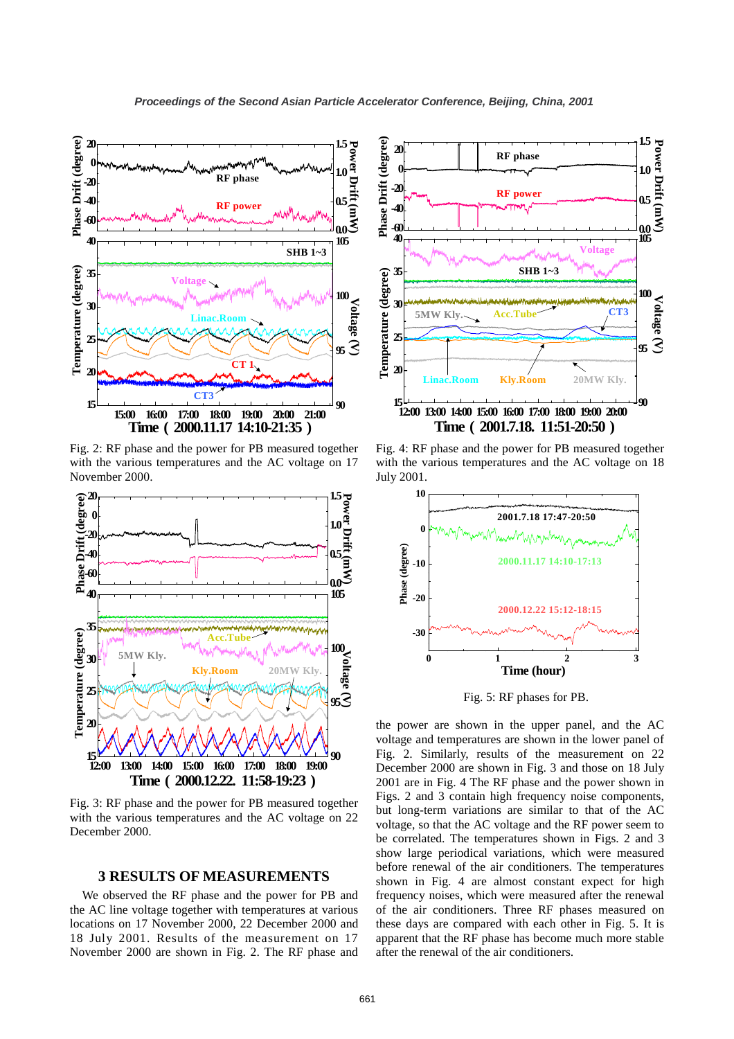

Fig. 2: RF phase and the power for PB measured together with the various temperatures and the AC voltage on 17 November 2000.



Fig. 3: RF phase and the power for PB measured together with the various temperatures and the AC voltage on 22 December 2000.

# **3 RESULTS OF MEASUREMENTS**

We observed the RF phase and the power for PB and the AC line voltage together with temperatures at various locations on 17 November 2000, 22 December 2000 and 18 July 2001. Results of the measurement on 17 November 2000 are shown in Fig. 2. The RF phase and



Fig. 4: RF phase and the power for PB measured together with the various temperatures and the AC voltage on 18 July 2001.



Fig. 5: RF phases for PB.

the power are shown in the upper panel, and the AC voltage and temperatures are shown in the lower panel of Fig. 2. Similarly, results of the measurement on 22 December 2000 are shown in Fig. 3 and those on 18 July 2001 are in Fig. 4 The RF phase and the power shown in Figs. 2 and 3 contain high frequency noise components, but long-term variations are similar to that of the AC voltage, so that the AC voltage and the RF power seem to be correlated. The temperatures shown in Figs. 2 and 3 show large periodical variations, which were measured before renewal of the air conditioners. The temperatures shown in Fig. 4 are almost constant expect for high frequency noises, which were measured after the renewal of the air conditioners. Three RF phases measured on these days are compared with each other in Fig. 5. It is apparent that the RF phase has become much more stable after the renewal of the air conditioners.